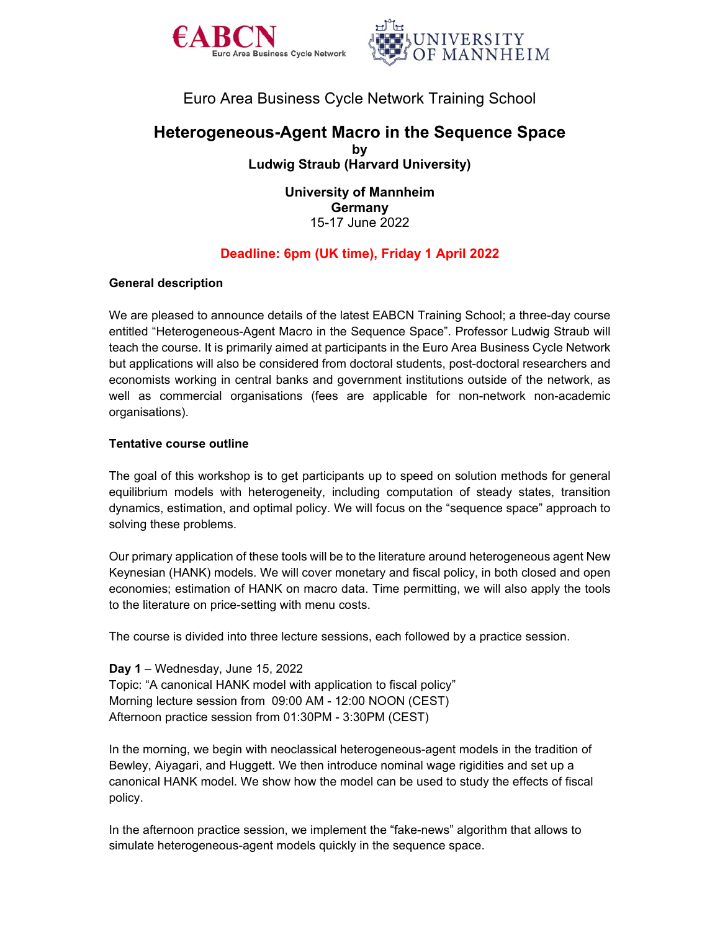



# Euro Area Business Cycle Network Training School

# **Heterogeneous-Agent Macro in the Sequence Space by Ludwig Straub (Harvard University)**

**University of Mannheim Germany**  15-17 June 2022

# **Deadline: 6pm (UK time), Friday 1 April 2022**

## **General description**

We are pleased to announce details of the latest EABCN Training School; a three-day course entitled "Heterogeneous-Agent Macro in the Sequence Space". Professor Ludwig Straub will teach the course. It is primarily aimed at participants in the Euro Area Business Cycle Network but applications will also be considered from doctoral students, post-doctoral researchers and economists working in central banks and government institutions outside of the network, as well as commercial organisations (fees are applicable for non-network non-academic organisations).

#### **Tentative course outline**

The goal of this workshop is to get participants up to speed on solution methods for general equilibrium models with heterogeneity, including computation of steady states, transition dynamics, estimation, and optimal policy. We will focus on the "sequence space" approach to solving these problems.

Our primary application of these tools will be to the literature around heterogeneous agent New Keynesian (HANK) models. We will cover monetary and fiscal policy, in both closed and open economies; estimation of HANK on macro data. Time permitting, we will also apply the tools to the literature on price-setting with menu costs.

The course is divided into three lecture sessions, each followed by a practice session.

**Day 1** – Wednesday, June 15, 2022 Topic: "A canonical HANK model with application to fiscal policy" Morning lecture session from 09:00 AM - 12:00 NOON (CEST) Afternoon practice session from 01:30PM - 3:30PM (CEST)

In the morning, we begin with neoclassical heterogeneous-agent models in the tradition of Bewley, Aiyagari, and Huggett. We then introduce nominal wage rigidities and set up a canonical HANK model. We show how the model can be used to study the effects of fiscal policy.

In the afternoon practice session, we implement the "fake-news" algorithm that allows to simulate heterogeneous-agent models quickly in the sequence space.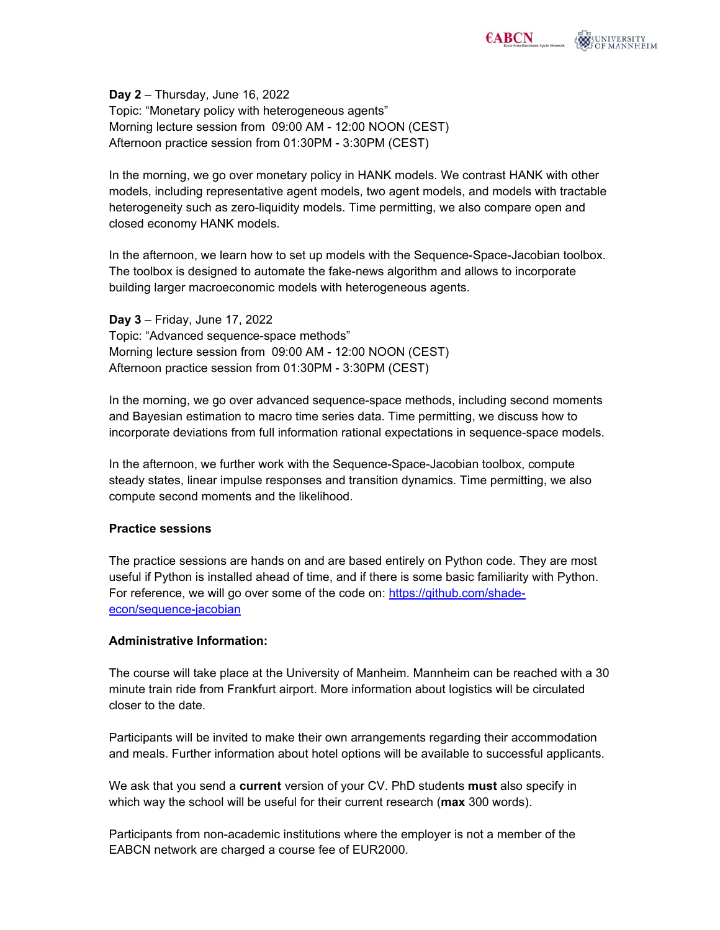**Day 2** – Thursday, June 16, 2022 Topic: "Monetary policy with heterogeneous agents" Morning lecture session from 09:00 AM - 12:00 NOON (CEST) Afternoon practice session from 01:30PM - 3:30PM (CEST)

In the morning, we go over monetary policy in HANK models. We contrast HANK with other models, including representative agent models, two agent models, and models with tractable heterogeneity such as zero-liquidity models. Time permitting, we also compare open and closed economy HANK models.

In the afternoon, we learn how to set up models with the Sequence-Space-Jacobian toolbox. The toolbox is designed to automate the fake-news algorithm and allows to incorporate building larger macroeconomic models with heterogeneous agents.

**Day 3** – Friday, June 17, 2022 Topic: "Advanced sequence-space methods" Morning lecture session from 09:00 AM - 12:00 NOON (CEST) Afternoon practice session from 01:30PM - 3:30PM (CEST)

In the morning, we go over advanced sequence-space methods, including second moments and Bayesian estimation to macro time series data. Time permitting, we discuss how to incorporate deviations from full information rational expectations in sequence-space models.

In the afternoon, we further work with the Sequence-Space-Jacobian toolbox, compute steady states, linear impulse responses and transition dynamics. Time permitting, we also compute second moments and the likelihood.

### **Practice sessions**

The practice sessions are hands on and are based entirely on Python code. They are most useful if Python is installed ahead of time, and if there is some basic familiarity with Python. For reference, we will go over some of the code on: https://github.com/shadeecon/sequence-jacobian

#### **Administrative Information:**

The course will take place at the University of Manheim. Mannheim can be reached with a 30 minute train ride from Frankfurt airport. More information about logistics will be circulated closer to the date.

Participants will be invited to make their own arrangements regarding their accommodation and meals. Further information about hotel options will be available to successful applicants.

We ask that you send a **current** version of your CV. PhD students **must** also specify in which way the school will be useful for their current research (**max** 300 words).

Participants from non-academic institutions where the employer is not a member of the EABCN network are charged a course fee of EUR2000.